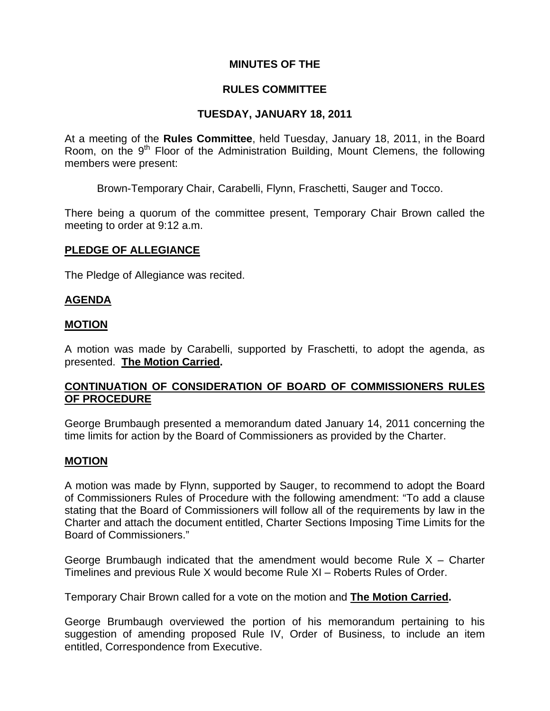# **MINUTES OF THE**

# **RULES COMMITTEE**

## **TUESDAY, JANUARY 18, 2011**

At a meeting of the **Rules Committee**, held Tuesday, January 18, 2011, in the Board Room, on the  $9<sup>th</sup>$  Floor of the Administration Building, Mount Clemens, the following members were present:

Brown-Temporary Chair, Carabelli, Flynn, Fraschetti, Sauger and Tocco.

There being a quorum of the committee present, Temporary Chair Brown called the meeting to order at 9:12 a.m.

## **PLEDGE OF ALLEGIANCE**

The Pledge of Allegiance was recited.

## **AGENDA**

### **MOTION**

A motion was made by Carabelli, supported by Fraschetti, to adopt the agenda, as presented. **The Motion Carried.** 

# **CONTINUATION OF CONSIDERATION OF BOARD OF COMMISSIONERS RULES OF PROCEDURE**

George Brumbaugh presented a memorandum dated January 14, 2011 concerning the time limits for action by the Board of Commissioners as provided by the Charter.

### **MOTION**

A motion was made by Flynn, supported by Sauger, to recommend to adopt the Board of Commissioners Rules of Procedure with the following amendment: "To add a clause stating that the Board of Commissioners will follow all of the requirements by law in the Charter and attach the document entitled, Charter Sections Imposing Time Limits for the Board of Commissioners."

George Brumbaugh indicated that the amendment would become Rule  $X -$  Charter Timelines and previous Rule X would become Rule XI – Roberts Rules of Order.

Temporary Chair Brown called for a vote on the motion and **The Motion Carried.** 

George Brumbaugh overviewed the portion of his memorandum pertaining to his suggestion of amending proposed Rule IV, Order of Business, to include an item entitled, Correspondence from Executive.